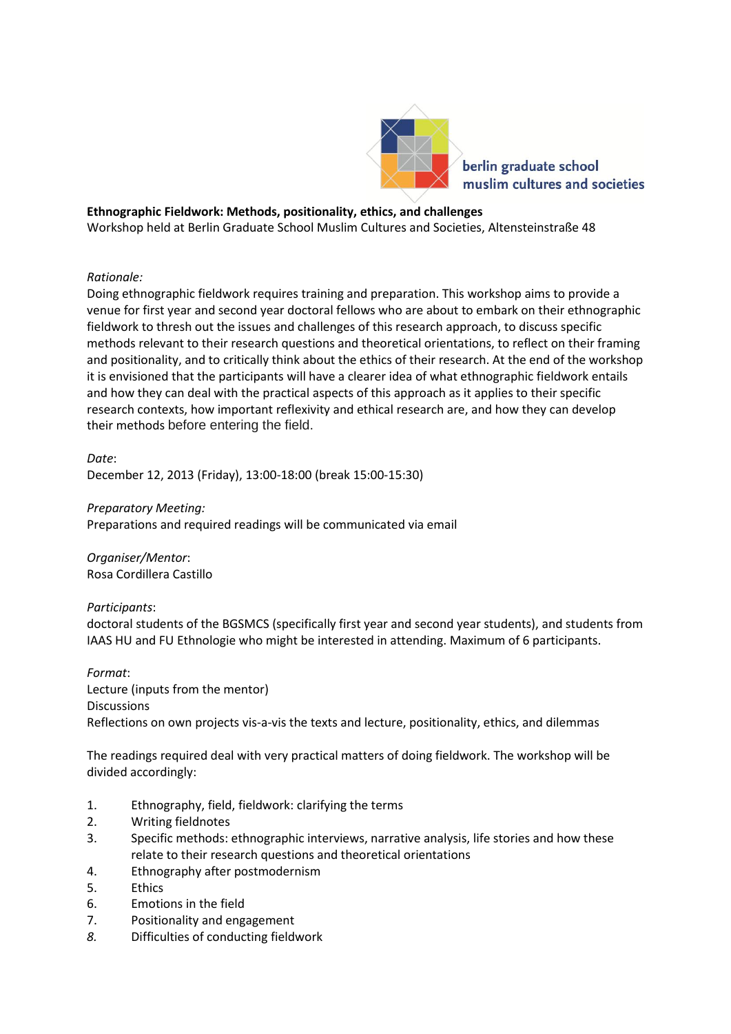

# **Ethnographic Fieldwork: Methods, positionality, ethics, and challenges**

Workshop held at Berlin Graduate School Muslim Cultures and Societies, Altensteinstraße 48

## *Rationale:*

Doing ethnographic fieldwork requires training and preparation. This workshop aims to provide a venue for first year and second year doctoral fellows who are about to embark on their ethnographic fieldwork to thresh out the issues and challenges of this research approach, to discuss specific methods relevant to their research questions and theoretical orientations, to reflect on their framing and positionality, and to critically think about the ethics of their research. At the end of the workshop it is envisioned that the participants will have a clearer idea of what ethnographic fieldwork entails and how they can deal with the practical aspects of this approach as it applies to their specific research contexts, how important reflexivity and ethical research are, and how they can develop their methods before entering the field.

*Date*: December 12, 2013 (Friday), 13:00-18:00 (break 15:00-15:30)

## *Preparatory Meeting:*

Preparations and required readings will be communicated via email

*Organiser/Mentor*: Rosa Cordillera Castillo

## *Participants*:

doctoral students of the BGSMCS (specifically first year and second year students), and students from IAAS HU and FU Ethnologie who might be interested in attending. Maximum of 6 participants.

## *Format*:

Lecture (inputs from the mentor) **Discussions** Reflections on own projects vis-a-vis the texts and lecture, positionality, ethics, and dilemmas

The readings required deal with very practical matters of doing fieldwork. The workshop will be divided accordingly:

- 1. Ethnography, field, fieldwork: clarifying the terms
- 2. Writing fieldnotes
- 3. Specific methods: ethnographic interviews, narrative analysis, life stories and how these relate to their research questions and theoretical orientations
- 4. Ethnography after postmodernism
- 5. Ethics
- 6. Emotions in the field
- 7. Positionality and engagement
- *8.* Difficulties of conducting fieldwork